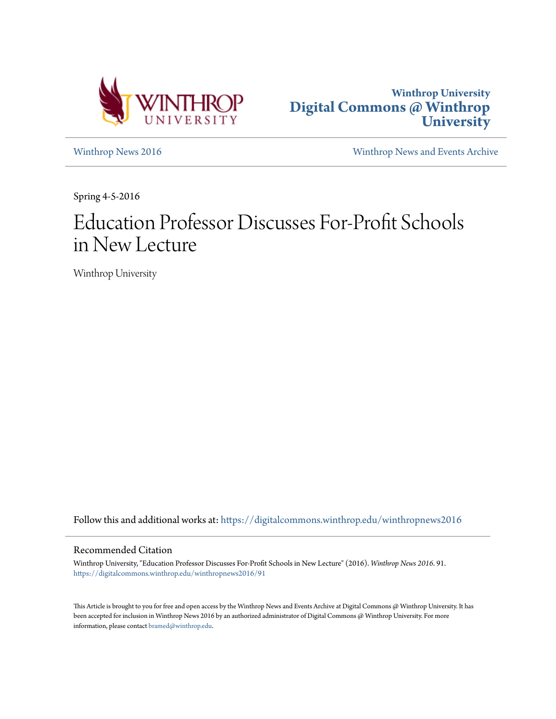



[Winthrop News 2016](https://digitalcommons.winthrop.edu/winthropnews2016?utm_source=digitalcommons.winthrop.edu%2Fwinthropnews2016%2F91&utm_medium=PDF&utm_campaign=PDFCoverPages) [Winthrop News and Events Archive](https://digitalcommons.winthrop.edu/winthropnewsarchives?utm_source=digitalcommons.winthrop.edu%2Fwinthropnews2016%2F91&utm_medium=PDF&utm_campaign=PDFCoverPages)

Spring 4-5-2016

# Education Professor Discusses For-Profit Schools in New Lecture

Winthrop University

Follow this and additional works at: [https://digitalcommons.winthrop.edu/winthropnews2016](https://digitalcommons.winthrop.edu/winthropnews2016?utm_source=digitalcommons.winthrop.edu%2Fwinthropnews2016%2F91&utm_medium=PDF&utm_campaign=PDFCoverPages)

#### Recommended Citation

Winthrop University, "Education Professor Discusses For-Profit Schools in New Lecture" (2016). *Winthrop News 2016*. 91. [https://digitalcommons.winthrop.edu/winthropnews2016/91](https://digitalcommons.winthrop.edu/winthropnews2016/91?utm_source=digitalcommons.winthrop.edu%2Fwinthropnews2016%2F91&utm_medium=PDF&utm_campaign=PDFCoverPages)

This Article is brought to you for free and open access by the Winthrop News and Events Archive at Digital Commons @ Winthrop University. It has been accepted for inclusion in Winthrop News 2016 by an authorized administrator of Digital Commons @ Winthrop University. For more information, please contact [bramed@winthrop.edu](mailto:bramed@winthrop.edu).